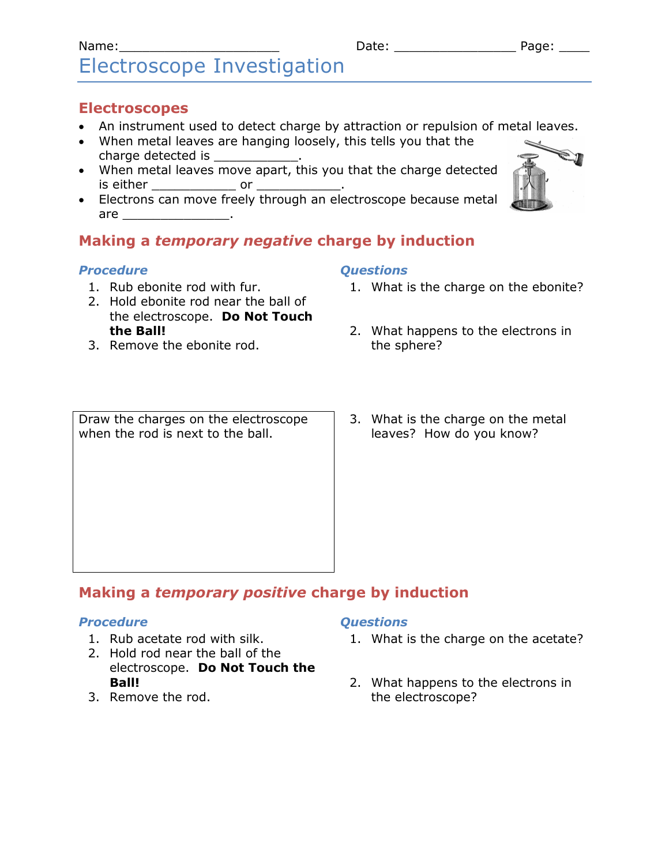# Name:\_\_\_\_\_\_\_\_\_\_\_\_\_\_\_\_\_\_\_\_\_ Date: \_\_\_\_\_\_\_\_\_\_\_\_\_\_\_\_ Page: \_\_\_\_ Electroscope Investigation

### **Electroscopes**

- An instrument used to detect charge by attraction or repulsion of metal leaves.
- When metal leaves are hanging loosely, this tells you that the charge detected is \_\_\_\_\_\_\_\_\_\_\_.
- When metal leaves move apart, this you that the charge detected is either \_\_\_\_\_\_\_\_\_\_\_\_\_\_\_\_\_\_\_\_ or \_\_\_\_\_\_\_\_\_\_
- Electrons can move freely through an electroscope because metal are \_\_\_\_\_\_\_\_\_\_\_\_\_\_.

## **Making a** *temporary negative* **charge by induction**

#### *Procedure*

- 1. Rub ebonite rod with fur.
- 2. Hold ebonite rod near the ball of the electroscope. **Do Not Touch the Ball!**
- 3. Remove the ebonite rod.

#### *Questions*

- 1. What is the charge on the ebonite?
- 2. What happens to the electrons in the sphere?

Draw the charges on the electroscope when the rod is next to the ball.

3. What is the charge on the metal leaves? How do you know?

# **Making a** *temporary positive* **charge by induction**

### *Procedure*

- 1. Rub acetate rod with silk.
- 2. Hold rod near the ball of the electroscope. **Do Not Touch the Ball!**
- 3. Remove the rod.

#### *Questions*

- 1. What is the charge on the acetate?
- 2. What happens to the electrons in the electroscope?

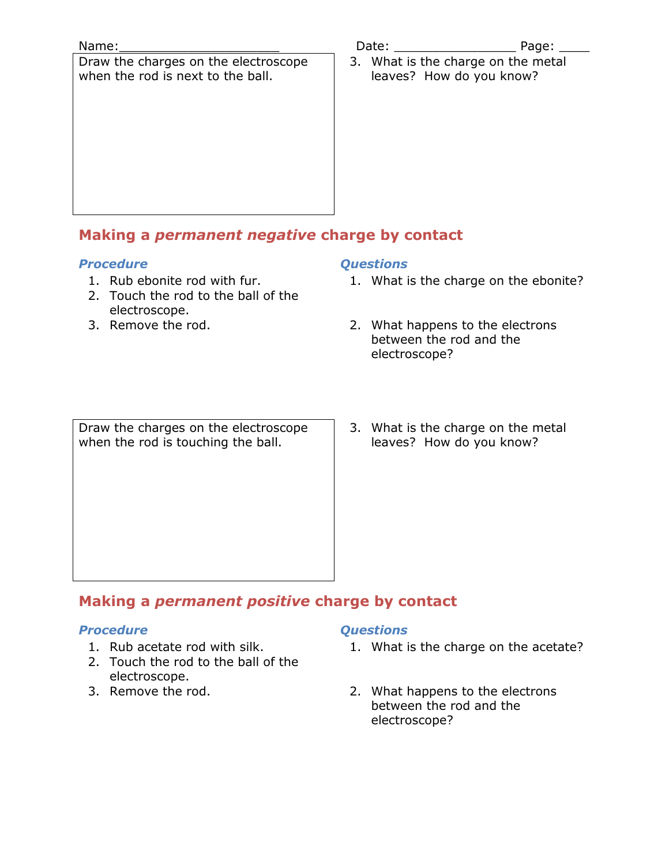| Name:                                                                     | Date: the contract of the contract of the contract of the contract of the contract of the contract of the contract of the contract of the contract of the contract of the contract of the contract of the contract of the cont | Page:                              |
|---------------------------------------------------------------------------|--------------------------------------------------------------------------------------------------------------------------------------------------------------------------------------------------------------------------------|------------------------------------|
| Draw the charges on the electroscope<br>when the rod is next to the ball. | leaves? How do you know?                                                                                                                                                                                                       | 3. What is the charge on the metal |
|                                                                           |                                                                                                                                                                                                                                |                                    |

# **Making a** *permanent negative* **charge by contact**

#### *Procedure*

- 1. Rub ebonite rod with fur.
- 2. Touch the rod to the ball of the electroscope.
- 3. Remove the rod.

#### *Questions*

- 1. What is the charge on the ebonite?
- 2. What happens to the electrons between the rod and the electroscope?

Draw the charges on the electroscope when the rod is touching the ball.

3. What is the charge on the metal leaves? How do you know?

## **Making a** *permanent positive* **charge by contact**

#### *Procedure*

- 1. Rub acetate rod with silk.
- 2. Touch the rod to the ball of the electroscope.
- 3. Remove the rod.

#### *Questions*

- 1. What is the charge on the acetate?
- 2. What happens to the electrons between the rod and the electroscope?